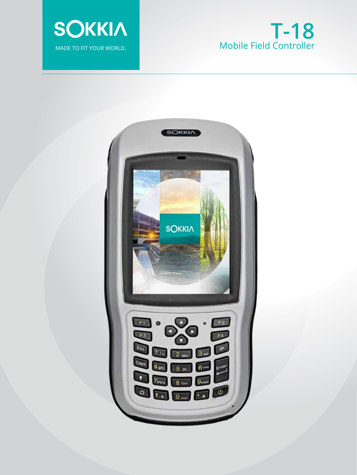

# **T-18** Mobile Field Controller